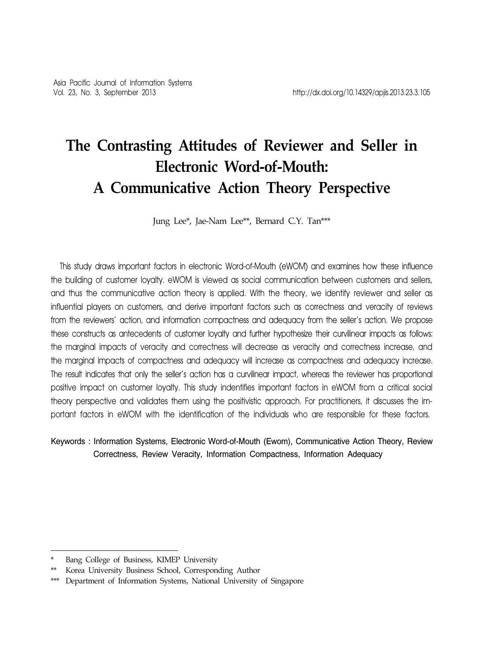# **The Contrasting Attitudes of Reviewer and Seller in Electronic Word-of-Mouth: A Communicative Action Theory Perspective**

Jung Lee\*, Jae-Nam Lee\*\*, Bernard C.Y. Tan\*\*\*

This study draws important factors in electronic Word-of-Mouth (eWOM) and examines how these influence the building of customer loyalty. eWOM is viewed as social communication between customers and sellers, and thus the communicative action theory is applied. With the theory, we identify reviewer and seller as influential players on customers, and derive important factors such as correctness and veracity of reviews from the reviewers' action, and information compactness and adequacy from the seller's action. We propose these constructs as antecedents of customer loyalty and further hypothesize their curvilinear impacts as follows: the marginal impacts of veracity and correctness will decrease as veracity and correctness increase, and the marginal impacts of compactness and adequacy will increase as compactness and adequacy increase. The result indicates that only the seller's action has a curvilinear impact, whereas the reviewer has proportional positive impact on customer loyalty. This study indentifies important factors in eWOM from a critical social theory perspective and validates them using the positivistic approach. For practitioners, it discusses the important factors in eWOM with the identification of the individuals who are responsible for these factors.

Keywords : Information Systems, Electronic Word-of-Mouth (Ewom), Communicative Action Theory, Review Correctness, Review Veracity, Information Compactness, Information Adequacy

Bang College of Business, KIMEP University

Korea University Business School, Corresponding Author

<sup>\*\*\*</sup> Department of Information Systems, National University of Singapore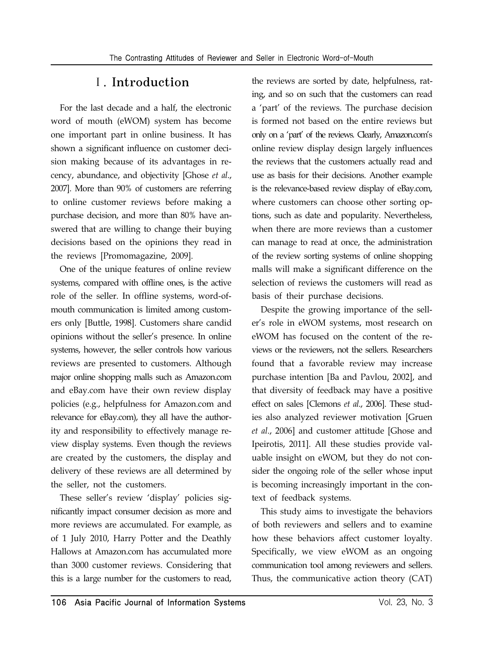### Ⅰ. Introduction

For the last decade and a half, the electronic word of mouth (eWOM) system has become one important part in online business. It has shown a significant influence on customer decision making because of its advantages in recency, abundance, and objectivity [Ghose *et al*., 2007]. More than 90% of customers are referring to online customer reviews before making a purchase decision, and more than 80% have answered that are willing to change their buying decisions based on the opinions they read in the reviews [Promomagazine, 2009].

One of the unique features of online review systems, compared with offline ones, is the active role of the seller. In offline systems, word-ofmouth communication is limited among customers only [Buttle, 1998]. Customers share candid opinions without the seller's presence. In online systems, however, the seller controls how various reviews are presented to customers. Although major online shopping malls such as Amazon.com and eBay.com have their own review display policies (e.g., helpfulness for Amazon.com and relevance for eBay.com), they all have the authority and responsibility to effectively manage review display systems. Even though the reviews are created by the customers, the display and delivery of these reviews are all determined by the seller, not the customers.

These seller's review 'display' policies significantly impact consumer decision as more and more reviews are accumulated. For example, as of 1 July 2010, Harry Potter and the Deathly Hallows at Amazon.com has accumulated more than 3000 customer reviews. Considering that this is a large number for the customers to read,

the reviews are sorted by date, helpfulness, rating, and so on such that the customers can read a 'part' of the reviews. The purchase decision is formed not based on the entire reviews but only on a 'part' of the reviews. Clearly, Amazon.com's online review display design largely influences the reviews that the customers actually read and use as basis for their decisions. Another example is the relevance-based review display of eBay.com, where customers can choose other sorting options, such as date and popularity. Nevertheless, when there are more reviews than a customer can manage to read at once, the administration of the review sorting systems of online shopping malls will make a significant difference on the selection of reviews the customers will read as basis of their purchase decisions.

Despite the growing importance of the seller's role in eWOM systems, most research on eWOM has focused on the content of the reviews or the reviewers, not the sellers. Researchers found that a favorable review may increase purchase intention [Ba and Pavlou, 2002], and that diversity of feedback may have a positive effect on sales [Clemons *et al*., 2006]. These studies also analyzed reviewer motivation [Gruen *et al*., 2006] and customer attitude [Ghose and Ipeirotis, 2011]. All these studies provide valuable insight on eWOM, but they do not consider the ongoing role of the seller whose input is becoming increasingly important in the context of feedback systems.

This study aims to investigate the behaviors of both reviewers and sellers and to examine how these behaviors affect customer loyalty. Specifically, we view eWOM as an ongoing communication tool among reviewers and sellers. Thus, the communicative action theory (CAT)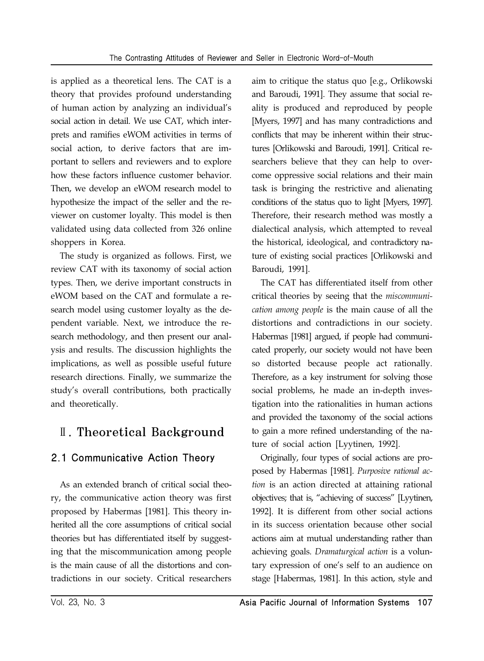is applied as a theoretical lens. The CAT is a theory that provides profound understanding of human action by analyzing an individual's social action in detail. We use CAT, which interprets and ramifies eWOM activities in terms of social action, to derive factors that are important to sellers and reviewers and to explore how these factors influence customer behavior. Then, we develop an eWOM research model to hypothesize the impact of the seller and the reviewer on customer loyalty. This model is then validated using data collected from 326 online shoppers in Korea.

The study is organized as follows. First, we review CAT with its taxonomy of social action types. Then, we derive important constructs in eWOM based on the CAT and formulate a research model using customer loyalty as the dependent variable. Next, we introduce the research methodology, and then present our analysis and results. The discussion highlights the implications, as well as possible useful future research directions. Finally, we summarize the study's overall contributions, both practically and theoretically.

## Ⅱ. Theoretical Background

### 2.1 Communicative Action Theory

As an extended branch of critical social theory, the communicative action theory was first proposed by Habermas [1981]. This theory inherited all the core assumptions of critical social theories but has differentiated itself by suggesting that the miscommunication among people is the main cause of all the distortions and contradictions in our society. Critical researchers

aim to critique the status quo [e.g., Orlikowski and Baroudi, 1991]. They assume that social reality is produced and reproduced by people [Myers, 1997] and has many contradictions and conflicts that may be inherent within their structures [Orlikowski and Baroudi, 1991]. Critical researchers believe that they can help to overcome oppressive social relations and their main task is bringing the restrictive and alienating conditions of the status quo to light [Myers, 1997]. Therefore, their research method was mostly a dialectical analysis, which attempted to reveal the historical, ideological, and contradictory nature of existing social practices [Orlikowski and Baroudi, 1991].

The CAT has differentiated itself from other critical theories by seeing that the *miscommunication among people* is the main cause of all the distortions and contradictions in our society. Habermas [1981] argued, if people had communicated properly, our society would not have been so distorted because people act rationally. Therefore, as a key instrument for solving those social problems, he made an in-depth investigation into the rationalities in human actions and provided the taxonomy of the social actions to gain a more refined understanding of the nature of social action [Lyytinen, 1992].

Originally, four types of social actions are proposed by Habermas [1981]. *Purposive rational action* is an action directed at attaining rational objectives; that is, "achieving of success" [Lyytinen, 1992]. It is different from other social actions in its success orientation because other social actions aim at mutual understanding rather than achieving goals. *Dramaturgical action* is a voluntary expression of one's self to an audience on stage [Habermas, 1981]. In this action, style and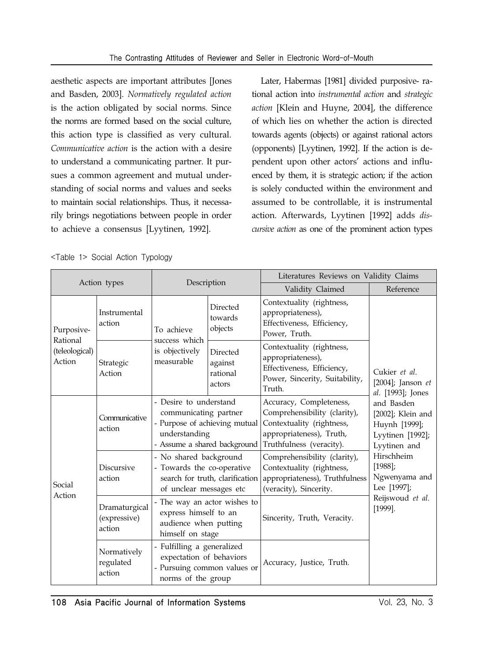aesthetic aspects are important attributes [Jones and Basden, 2003]. *Normatively regulated action* is the action obligated by social norms. Since the norms are formed based on the social culture, this action type is classified as very cultural. *Communicative action* is the action with a desire to understand a communicating partner. It pursues a common agreement and mutual understanding of social norms and values and seeks to maintain social relationships. Thus, it necessarily brings negotiations between people in order to achieve a consensus [Lyytinen, 1992].

Later, Habermas [1981] divided purposive- rational action into *instrumental action* and *strategic action* [Klein and Huyne, 2004], the difference of which lies on whether the action is directed towards agents (objects) or against rational actors (opponents) [Lyytinen, 1992]. If the action is dependent upon other actors' actions and influenced by them, it is strategic action; if the action is solely conducted within the environment and assumed to be controllable, it is instrumental action. Afterwards, Lyytinen [1992] adds *discursive action* as one of the prominent action types

|                                      |                                         |                                                                                                                                                                                                                   |                                           | Literatures Reviews on Validity Claims                                                                                                       |                                                                                      |  |  |
|--------------------------------------|-----------------------------------------|-------------------------------------------------------------------------------------------------------------------------------------------------------------------------------------------------------------------|-------------------------------------------|----------------------------------------------------------------------------------------------------------------------------------------------|--------------------------------------------------------------------------------------|--|--|
| Action types                         |                                         | Description                                                                                                                                                                                                       |                                           | Validity Claimed                                                                                                                             | Reference                                                                            |  |  |
| Purposive-                           | Instrumental<br>action                  | Directed<br>towards<br>objects<br>To achieve                                                                                                                                                                      |                                           | Contextuality (rightness,<br>appropriateness),<br>Effectiveness, Efficiency,<br>Power, Truth.                                                |                                                                                      |  |  |
| Rational<br>(teleological)<br>Action | Strategic<br>Action                     | success which<br>is objectively<br>measurable                                                                                                                                                                     | Directed<br>against<br>rational<br>actors | Contextuality (rightness,<br>appropriateness),<br>Effectiveness, Efficiency,<br>Power, Sincerity, Suitability,<br>Truth.                     | Cukier et al.<br>[2004]; Janson $et$<br>al. [1993]; Jones                            |  |  |
|                                      | Communicative<br>action                 | - Desire to understand<br>communicating partner<br>- Purpose of achieving mutual<br>understanding<br>- Assume a shared background                                                                                 |                                           | Accuracy, Completeness,<br>Comprehensibility (clarity),<br>Contextuality (rightness,<br>appropriateness), Truth,<br>Truthfulness (veracity). | and Basden<br>[2002]; Klein and<br>Huynh [1999];<br>Lyytinen [1992];<br>Lyytinen and |  |  |
| Social                               | <b>Discursive</b><br>action             | - No shared background<br>- Towards the co-operative<br>of unclear messages etc                                                                                                                                   | search for truth, clarification           | Comprehensibility (clarity),<br>Contextuality (rightness,<br>appropriateness), Truthfulness<br>(veracity), Sincerity.                        | Hirschheim<br>$[1988]$ ;<br>Ngwenyama and<br>Lee [1997];                             |  |  |
| Action                               | Dramaturgical<br>(expressive)<br>action | - The way an actor wishes to<br>express himself to an<br>audience when putting<br>himself on stage<br>- Fulfilling a generalized<br>expectation of behaviors<br>- Pursuing common values or<br>norms of the group |                                           | Sincerity, Truth, Veracity.                                                                                                                  | Reijswoud et al.<br>$[1999]$ .                                                       |  |  |
|                                      | Normatively<br>regulated<br>action      |                                                                                                                                                                                                                   |                                           | Accuracy, Justice, Truth.                                                                                                                    |                                                                                      |  |  |

|  |  | <table 1=""> Social Action Typology</table> |
|--|--|---------------------------------------------|
|  |  |                                             |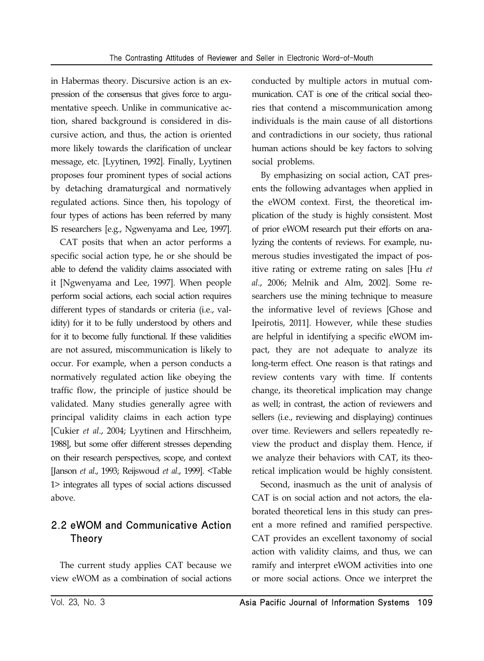in Habermas theory. Discursive action is an expression of the consensus that gives force to argumentative speech. Unlike in communicative action, shared background is considered in discursive action, and thus, the action is oriented more likely towards the clarification of unclear message, etc. [Lyytinen, 1992]. Finally, Lyytinen proposes four prominent types of social actions by detaching dramaturgical and normatively regulated actions. Since then, his topology of four types of actions has been referred by many IS researchers [e.g., Ngwenyama and Lee, 1997].

CAT posits that when an actor performs a specific social action type, he or she should be able to defend the validity claims associated with it [Ngwenyama and Lee, 1997]. When people perform social actions, each social action requires different types of standards or criteria (i.e., validity) for it to be fully understood by others and for it to become fully functional. If these validities are not assured, miscommunication is likely to occur. For example, when a person conducts a normatively regulated action like obeying the traffic flow, the principle of justice should be validated. Many studies generally agree with principal validity claims in each action type [Cukier *et al*., 2004; Lyytinen and Hirschheim, 1988], but some offer different stresses depending on their research perspectives, scope, and context [Janson *et al*., 1993; Reijswoud *et al*., 1999]. <Table 1> integrates all types of social actions discussed above.

### 2.2 eWOM and Communicative Action Theory

The current study applies CAT because we view eWOM as a combination of social actions conducted by multiple actors in mutual communication. CAT is one of the critical social theories that contend a miscommunication among individuals is the main cause of all distortions and contradictions in our society, thus rational human actions should be key factors to solving social problems.

By emphasizing on social action, CAT presents the following advantages when applied in the eWOM context. First, the theoretical implication of the study is highly consistent. Most of prior eWOM research put their efforts on analyzing the contents of reviews. For example, numerous studies investigated the impact of positive rating or extreme rating on sales [Hu *et al*., 2006; Melnik and Alm, 2002]. Some researchers use the mining technique to measure the informative level of reviews [Ghose and Ipeirotis, 2011]. However, while these studies are helpful in identifying a specific eWOM impact, they are not adequate to analyze its long-term effect. One reason is that ratings and review contents vary with time. If contents change, its theoretical implication may change as well; in contrast, the action of reviewers and sellers (i.e., reviewing and displaying) continues over time. Reviewers and sellers repeatedly review the product and display them. Hence, if we analyze their behaviors with CAT, its theoretical implication would be highly consistent.

Second, inasmuch as the unit of analysis of CAT is on social action and not actors, the elaborated theoretical lens in this study can present a more refined and ramified perspective. CAT provides an excellent taxonomy of social action with validity claims, and thus, we can ramify and interpret eWOM activities into one or more social actions. Once we interpret the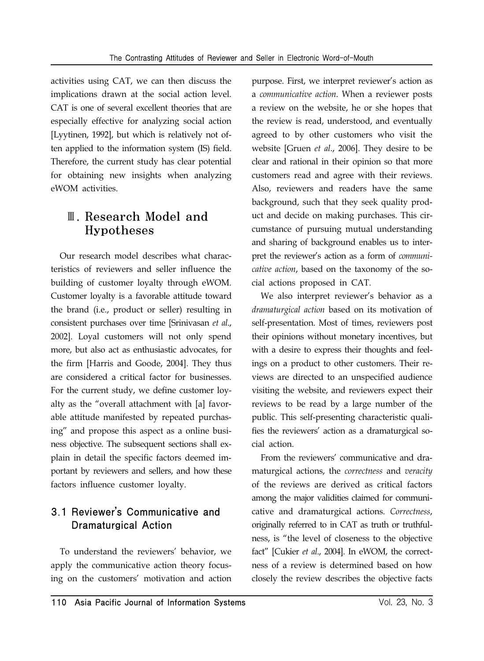activities using CAT, we can then discuss the implications drawn at the social action level. CAT is one of several excellent theories that are especially effective for analyzing social action [Lyytinen, 1992], but which is relatively not often applied to the information system (IS) field. Therefore, the current study has clear potential for obtaining new insights when analyzing eWOM activities.

### Ⅲ. Research Model and Hypotheses

Our research model describes what characteristics of reviewers and seller influence the building of customer loyalty through eWOM. Customer loyalty is a favorable attitude toward the brand (i.e., product or seller) resulting in consistent purchases over time [Srinivasan *et al*., 2002]. Loyal customers will not only spend more, but also act as enthusiastic advocates, for the firm [Harris and Goode, 2004]. They thus are considered a critical factor for businesses. For the current study, we define customer loyalty as the "overall attachment with [a] favorable attitude manifested by repeated purchasing" and propose this aspect as a online business objective. The subsequent sections shall explain in detail the specific factors deemed important by reviewers and sellers, and how these factors influence customer loyalty.

### 3.1 Reviewer's Communicative and Dramaturgical Action

To understand the reviewers' behavior, we apply the communicative action theory focusing on the customers' motivation and action purpose. First, we interpret reviewer's action as a *communicative action*. When a reviewer posts a review on the website, he or she hopes that the review is read, understood, and eventually agreed to by other customers who visit the website [Gruen *et al*., 2006]. They desire to be clear and rational in their opinion so that more customers read and agree with their reviews. Also, reviewers and readers have the same background, such that they seek quality product and decide on making purchases. This circumstance of pursuing mutual understanding and sharing of background enables us to interpret the reviewer's action as a form of *communicative action*, based on the taxonomy of the social actions proposed in CAT.

We also interpret reviewer's behavior as a *dramaturgical action* based on its motivation of self-presentation. Most of times, reviewers post their opinions without monetary incentives, but with a desire to express their thoughts and feelings on a product to other customers. Their reviews are directed to an unspecified audience visiting the website, and reviewers expect their reviews to be read by a large number of the public. This self-presenting characteristic qualifies the reviewers' action as a dramaturgical social action.

From the reviewers' communicative and dramaturgical actions, the *correctness* and *veracity* of the reviews are derived as critical factors among the major validities claimed for communicative and dramaturgical actions. *Correctness*, originally referred to in CAT as truth or truthfulness, is "the level of closeness to the objective fact" [Cukier *et al*., 2004]. In eWOM, the correctness of a review is determined based on how closely the review describes the objective facts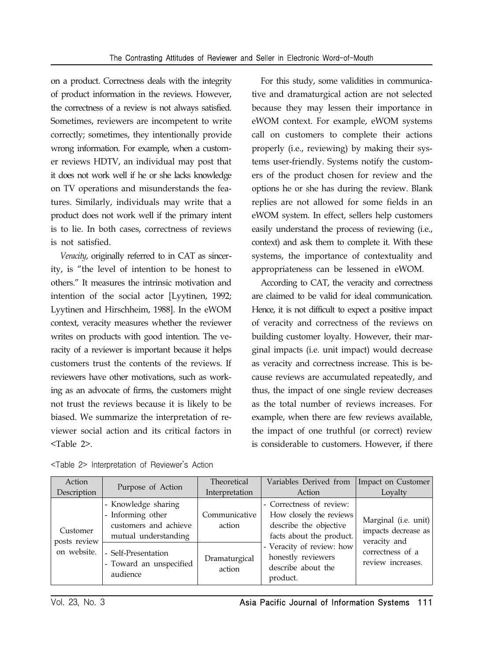on a product. Correctness deals with the integrity of product information in the reviews. However, the correctness of a review is not always satisfied. Sometimes, reviewers are incompetent to write correctly; sometimes, they intentionally provide wrong information. For example, when a customer reviews HDTV, an individual may post that it does not work well if he or she lacks knowledge on TV operations and misunderstands the features. Similarly, individuals may write that a product does not work well if the primary intent is to lie. In both cases, correctness of reviews is not satisfied.

*Veracity*, originally referred to in CAT as sincerity, is "the level of intention to be honest to others." It measures the intrinsic motivation and intention of the social actor [Lyytinen, 1992; Lyytinen and Hirschheim, 1988]. In the eWOM context, veracity measures whether the reviewer writes on products with good intention. The veracity of a reviewer is important because it helps customers trust the contents of the reviews. If reviewers have other motivations, such as working as an advocate of firms, the customers might not trust the reviews because it is likely to be biased. We summarize the interpretation of reviewer social action and its critical factors in <Table 2>.

For this study, some validities in communicative and dramaturgical action are not selected because they may lessen their importance in eWOM context. For example, eWOM systems call on customers to complete their actions properly (i.e., reviewing) by making their systems user-friendly. Systems notify the customers of the product chosen for review and the options he or she has during the review. Blank replies are not allowed for some fields in an eWOM system. In effect, sellers help customers easily understand the process of reviewing (i.e., context) and ask them to complete it. With these systems, the importance of contextuality and appropriateness can be lessened in eWOM.

According to CAT, the veracity and correctness are claimed to be valid for ideal communication. Hence, it is not difficult to expect a positive impact of veracity and correctness of the reviews on building customer loyalty. However, their marginal impacts (i.e. unit impact) would decrease as veracity and correctness increase. This is because reviews are accumulated repeatedly, and thus, the impact of one single review decreases as the total number of reviews increases. For example, when there are few reviews available, the impact of one truthful (or correct) review is considerable to customers. However, if there

|  | <table 2=""> Interpretation of Reviewer's Action</table> |  |  |  |
|--|----------------------------------------------------------|--|--|--|
|--|----------------------------------------------------------|--|--|--|

| Action                                  | Purpose of Action                                                                                                                                       | Theoretical                                        | Variables Derived from                                                                                                                                                                         | Impact on Customer                                                                                   |
|-----------------------------------------|---------------------------------------------------------------------------------------------------------------------------------------------------------|----------------------------------------------------|------------------------------------------------------------------------------------------------------------------------------------------------------------------------------------------------|------------------------------------------------------------------------------------------------------|
| Description                             |                                                                                                                                                         | Interpretation                                     | Action                                                                                                                                                                                         | Lovalty                                                                                              |
| Customer<br>posts review<br>on website. | - Knowledge sharing<br>- Informing other<br>customers and achieve<br>mutual understanding<br>- Self-Presentation<br>- Toward an unspecified<br>audience | Communicative<br>action<br>Dramaturgical<br>action | - Correctness of review:<br>How closely the reviews<br>describe the objective<br>facts about the product.<br>- Veracity of review: how<br>honestly reviewers<br>describe about the<br>product. | Marginal (i.e. unit)<br>impacts decrease as<br>veracity and<br>correctness of a<br>review increases. |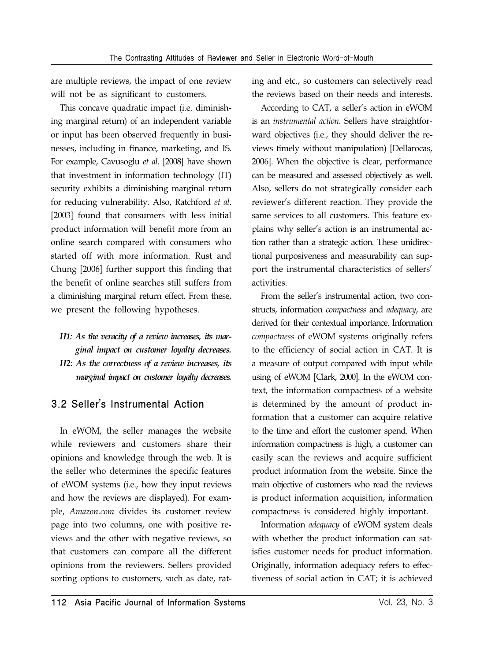are multiple reviews, the impact of one review will not be as significant to customers.

This concave quadratic impact (i.e. diminishing marginal return) of an independent variable or input has been observed frequently in businesses, including in finance, marketing, and IS. For example, Cavusoglu *et al*. [2008] have shown that investment in information technology (IT) security exhibits a diminishing marginal return for reducing vulnerability. Also, Ratchford *et al*. [2003] found that consumers with less initial product information will benefit more from an online search compared with consumers who started off with more information. Rust and Chung [2006] further support this finding that the benefit of online searches still suffers from a diminishing marginal return effect. From these, we present the following hypotheses.

*H1: As the veracity of a review increases, its marginal impact on customer loyalty decreases. H2: As the correctness of a review increases, its marginal impact on customer loyalty decreases.*

### 3.2 Seller's Instrumental Action

In eWOM, the seller manages the website while reviewers and customers share their opinions and knowledge through the web. It is the seller who determines the specific features of eWOM systems (i.e., how they input reviews and how the reviews are displayed). For example, *Amazon.com* divides its customer review page into two columns, one with positive reviews and the other with negative reviews, so that customers can compare all the different opinions from the reviewers. Sellers provided sorting options to customers, such as date, rating and etc., so customers can selectively read the reviews based on their needs and interests.

According to CAT, a seller's action in eWOM is an *instrumental action*. Sellers have straightforward objectives (i.e., they should deliver the reviews timely without manipulation) [Dellarocas, 2006]. When the objective is clear, performance can be measured and assessed objectively as well. Also, sellers do not strategically consider each reviewer's different reaction. They provide the same services to all customers. This feature explains why seller's action is an instrumental action rather than a strategic action. These unidirectional purposiveness and measurability can support the instrumental characteristics of sellers' activities.

From the seller's instrumental action, two constructs, information *compactness* and *adequacy*, are derived for their contextual importance. Information *compactness* of eWOM systems originally refers to the efficiency of social action in CAT. It is a measure of output compared with input while using of eWOM [Clark, 2000]. In the eWOM context, the information compactness of a website is determined by the amount of product information that a customer can acquire relative to the time and effort the customer spend. When information compactness is high, a customer can easily scan the reviews and acquire sufficient product information from the website. Since the main objective of customers who read the reviews is product information acquisition, information compactness is considered highly important.

Information *adequacy* of eWOM system deals with whether the product information can satisfies customer needs for product information. Originally, information adequacy refers to effectiveness of social action in CAT; it is achieved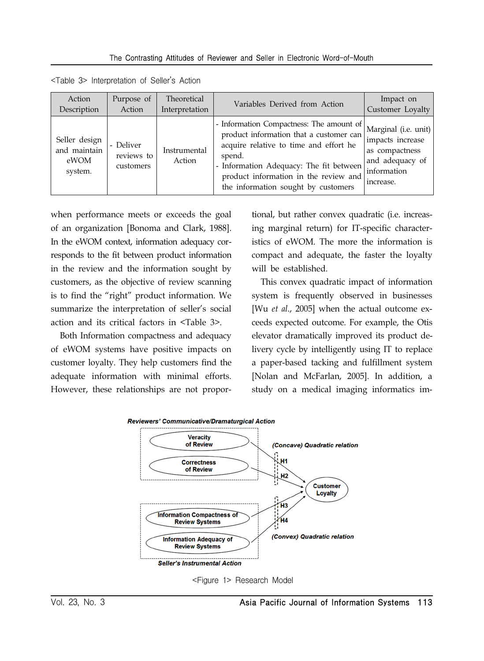| Action                                           | Purpose of                           | Theoretical            | Variables Derived from Action                                                                                                                                                                                                                                      | Impact on                                                                                                 |
|--------------------------------------------------|--------------------------------------|------------------------|--------------------------------------------------------------------------------------------------------------------------------------------------------------------------------------------------------------------------------------------------------------------|-----------------------------------------------------------------------------------------------------------|
| Description                                      | Action                               | Interpretation         |                                                                                                                                                                                                                                                                    | Customer Loyalty                                                                                          |
| Seller design<br>and maintain<br>eWOM<br>system. | - Deliver<br>reviews to<br>customers | Instrumental<br>Action | - Information Compactness: The amount of<br>product information that a customer can<br>acquire relative to time and effort he<br>spend.<br>- Information Adequacy: The fit between<br>product information in the review and<br>the information sought by customers | Marginal (i.e. unit)<br>impacts increase<br>as compactness<br>and adequacy of<br>information<br>increase. |

<Table 3> Interpretation of Seller's Action

when performance meets or exceeds the goal of an organization [Bonoma and Clark, 1988]. In the eWOM context, information adequacy corresponds to the fit between product information in the review and the information sought by customers, as the objective of review scanning is to find the "right" product information. We summarize the interpretation of seller's social action and its critical factors in <Table 3>.

Both Information compactness and adequacy of eWOM systems have positive impacts on customer loyalty. They help customers find the adequate information with minimal efforts. However, these relationships are not proportional, but rather convex quadratic (i.e. increasing marginal return) for IT-specific characteristics of eWOM. The more the information is compact and adequate, the faster the loyalty will be established.

This convex quadratic impact of information system is frequently observed in businesses [Wu *et al*., 2005] when the actual outcome exceeds expected outcome. For example, the Otis elevator dramatically improved its product delivery cycle by intelligently using IT to replace a paper-based tacking and fulfillment system [Nolan and McFarlan, 2005]. In addition, a study on a medical imaging informatics im-



<Figure 1> Research Model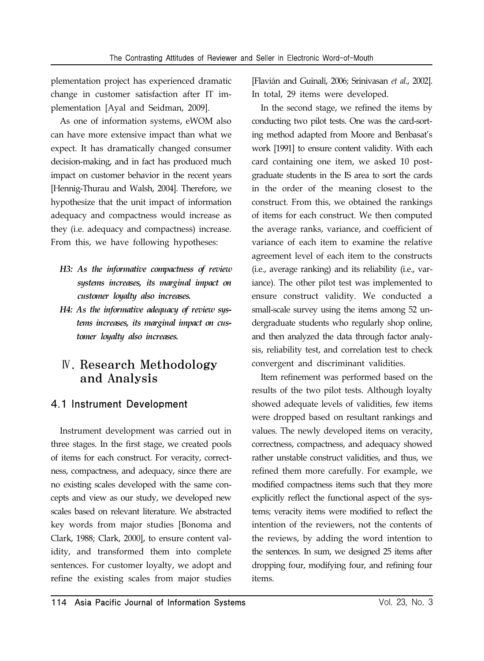plementation project has experienced dramatic change in customer satisfaction after IT implementation [Ayal and Seidman, 2009].

As one of information systems, eWOM also can have more extensive impact than what we expect. It has dramatically changed consumer decision-making, and in fact has produced much impact on customer behavior in the recent years [Hennig-Thurau and Walsh, 2004]. Therefore, we hypothesize that the unit impact of information adequacy and compactness would increase as they (i.e. adequacy and compactness) increase. From this, we have following hypotheses:

- *H3: As the informative compactness of review systems increases, its marginal impact on customer loyalty also increases.*
- *H4: As the informative adequacy of review systems increases, its marginal impact on customer loyalty also increases.*

### Ⅳ. Research Methodology and Analysis

### 4.1 Instrument Development

Instrument development was carried out in three stages. In the first stage, we created pools of items for each construct. For veracity, correctness, compactness, and adequacy, since there are no existing scales developed with the same concepts and view as our study, we developed new scales based on relevant literature. We abstracted key words from major studies [Bonoma and Clark, 1988; Clark, 2000], to ensure content validity, and transformed them into complete sentences. For customer loyalty, we adopt and refine the existing scales from major studies

[Flavián and Guinalí, 2006; Srinivasan *et al*., 2002]. In total, 29 items were developed.

In the second stage, we refined the items by conducting two pilot tests. One was the card-sorting method adapted from Moore and Benbasat's work [1991] to ensure content validity. With each card containing one item, we asked 10 postgraduate students in the IS area to sort the cards in the order of the meaning closest to the construct. From this, we obtained the rankings of items for each construct. We then computed the average ranks, variance, and coefficient of variance of each item to examine the relative agreement level of each item to the constructs (i.e., average ranking) and its reliability (i.e., variance). The other pilot test was implemented to ensure construct validity. We conducted a small-scale survey using the items among 52 undergraduate students who regularly shop online, and then analyzed the data through factor analysis, reliability test, and correlation test to check convergent and discriminant validities.

Item refinement was performed based on the results of the two pilot tests. Although loyalty showed adequate levels of validities, few items were dropped based on resultant rankings and values. The newly developed items on veracity, correctness, compactness, and adequacy showed rather unstable construct validities, and thus, we refined them more carefully. For example, we modified compactness items such that they more explicitly reflect the functional aspect of the systems; veracity items were modified to reflect the intention of the reviewers, not the contents of the reviews, by adding the word intention to the sentences. In sum, we designed 25 items after dropping four, modifying four, and refining four items.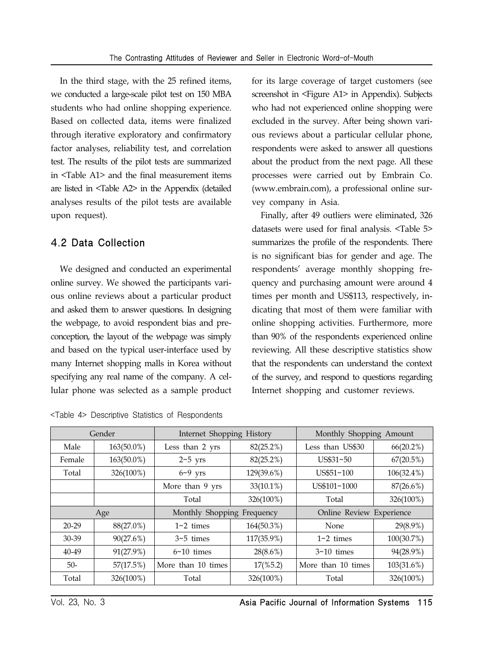In the third stage, with the 25 refined items, we conducted a large-scale pilot test on 150 MBA students who had online shopping experience. Based on collected data, items were finalized through iterative exploratory and confirmatory factor analyses, reliability test, and correlation test. The results of the pilot tests are summarized in <Table A1> and the final measurement items are listed in <Table A2> in the Appendix (detailed analyses results of the pilot tests are available upon request).

#### 4.2 Data Collection

We designed and conducted an experimental online survey. We showed the participants various online reviews about a particular product and asked them to answer questions. In designing the webpage, to avoid respondent bias and preconception, the layout of the webpage was simply and based on the typical user-interface used by many Internet shopping malls in Korea without specifying any real name of the company. A cellular phone was selected as a sample product

|  |  |  |  | <table 4=""> Descriptive Statistics of Respondents</table> |
|--|--|--|--|------------------------------------------------------------|
|--|--|--|--|------------------------------------------------------------|

for its large coverage of target customers (see screenshot in <Figure A1> in Appendix). Subjects who had not experienced online shopping were excluded in the survey. After being shown various reviews about a particular cellular phone, respondents were asked to answer all questions about the product from the next page. All these processes were carried out by Embrain Co. (www.embrain.com), a professional online survey company in Asia.

Finally, after 49 outliers were eliminated, 326 datasets were used for final analysis. <Table 5> summarizes the profile of the respondents. There is no significant bias for gender and age. The respondents' average monthly shopping frequency and purchasing amount were around 4 times per month and US\$113, respectively, indicating that most of them were familiar with online shopping activities. Furthermore, more than 90% of the respondents experienced online reviewing. All these descriptive statistics show that the respondents can understand the context of the survey, and respond to questions regarding Internet shopping and customer reviews.

|           | Gender     | Internet Shopping History  |                     | Monthly Shopping Amount  |               |
|-----------|------------|----------------------------|---------------------|--------------------------|---------------|
| Male      | 163(50.0%) | Less than 2 yrs            | $82(25.2\%)$        | Less than US\$30         | $66(20.2\%)$  |
| Female    | 163(50.0%) | $2~5$ yrs                  | $82(25.2\%)$        | US\$31~50                | 67(20.5%)     |
| Total     | 326(100%)  | $6 - 9$ yrs                | 129(39.6%)          | US\$51~100               | $106(32.4\%)$ |
|           |            | More than 9 yrs            | $33(10.1\%)$        | US\$101~1000             | $87(26.6\%)$  |
|           |            | Total                      | 326(100%)           | Total                    | 326(100%)     |
|           | Age        | Monthly Shopping Frequency |                     | Online Review Experience |               |
| $20-29$   | 88(27.0%)  | $1~2$ times                | 164(50.3%)          | None                     | $29(8.9\%)$   |
| 30-39     | 90(27.6%)  | $3 \times 5$ times         | 117(35.9%)          | $1~2$ times              | 100(30.7%)    |
| $40 - 49$ | 91(27.9%)  | $6~10$ times               | $28(8.6\%)$         | $3~10$ times             | 94(28.9%)     |
| $50-$     | 57(17.5%)  | More than 10 times         | $17(\frac{6}{5.2})$ | More than 10 times       | 103(31.6%)    |
| Total     | 326(100%)  | Total                      | 326(100%)           | Total                    | 326(100%)     |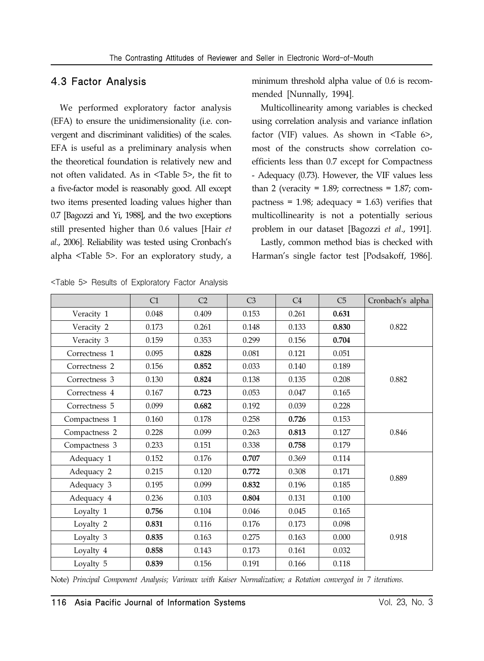#### 4.3 Factor Analysis

We performed exploratory factor analysis (EFA) to ensure the unidimensionality (i.e. convergent and discriminant validities) of the scales. EFA is useful as a preliminary analysis when the theoretical foundation is relatively new and not often validated. As in <Table 5>, the fit to a five-factor model is reasonably good. All except two items presented loading values higher than 0.7 [Bagozzi and Yi, 1988], and the two exceptions still presented higher than 0.6 values [Hair *et al*., 2006]. Reliability was tested using Cronbach's alpha <Table 5>. For an exploratory study, a minimum threshold alpha value of 0.6 is recommended [Nunnally, 1994].

Multicollinearity among variables is checked using correlation analysis and variance inflation factor (VIF) values. As shown in <Table 6>, most of the constructs show correlation coefficients less than 0.7 except for Compactness - Adequacy (0.73). However, the VIF values less than 2 (veracity =  $1.89$ ; correctness =  $1.87$ ; compactness =  $1.98$ ; adequacy =  $1.63$ ) verifies that multicollinearity is not a potentially serious problem in our dataset [Bagozzi *et al*., 1991].

Lastly, common method bias is checked with Harman's single factor test [Podsakoff, 1986].

|               | C1    | C <sub>2</sub> | C <sub>3</sub> | C <sub>4</sub> | C5    | Cronbach's alpha |
|---------------|-------|----------------|----------------|----------------|-------|------------------|
| Veracity 1    | 0.048 | 0.409          | 0.153          | 0.261          | 0.631 |                  |
| Veracity 2    | 0.173 | 0.261          | 0.148          | 0.133          | 0.830 | 0.822            |
| Veracity 3    | 0.159 | 0.353          | 0.299          | 0.156          | 0.704 |                  |
| Correctness 1 | 0.095 | 0.828          | 0.081          | 0.121          | 0.051 |                  |
| Correctness 2 | 0.156 | 0.852          | 0.033          | 0.140          | 0.189 |                  |
| Correctness 3 | 0.130 | 0.824          | 0.138          | 0.135          | 0.208 | 0.882            |
| Correctness 4 | 0.167 | 0.723          | 0.053          | 0.047          | 0.165 |                  |
| Correctness 5 | 0.099 | 0.682          | 0.192          | 0.039          | 0.228 |                  |
| Compactness 1 | 0.160 | 0.178          | 0.258          | 0.726          | 0.153 |                  |
| Compactness 2 | 0.228 | 0.099          | 0.263          | 0.813          | 0.127 | 0.846            |
| Compactness 3 | 0.233 | 0.151          | 0.338          | 0.758          | 0.179 |                  |
| Adequacy 1    | 0.152 | 0.176          | 0.707          | 0.369          | 0.114 |                  |
| Adequacy 2    | 0.215 | 0.120          | 0.772          | 0.308          | 0.171 | 0.889            |
| Adequacy 3    | 0.195 | 0.099          | 0.832          | 0.196          | 0.185 |                  |
| Adequacy 4    | 0.236 | 0.103          | 0.804          | 0.131          | 0.100 |                  |
| Loyalty 1     | 0.756 | 0.104          | 0.046          | 0.045          | 0.165 |                  |
| Loyalty 2     | 0.831 | 0.116          | 0.176          | 0.173          | 0.098 |                  |
| Loyalty 3     | 0.835 | 0.163          | 0.275          | 0.163          | 0.000 | 0.918            |
| Loyalty 4     | 0.858 | 0.143          | 0.173          | 0.161          | 0.032 |                  |
| Loyalty 5     | 0.839 | 0.156          | 0.191          | 0.166          | 0.118 |                  |

<Table 5> Results of Exploratory Factor Analysis

Note) *Principal Component Analysis; Varimax with Kaiser Normalization; a Rotation converged in 7 iterations.*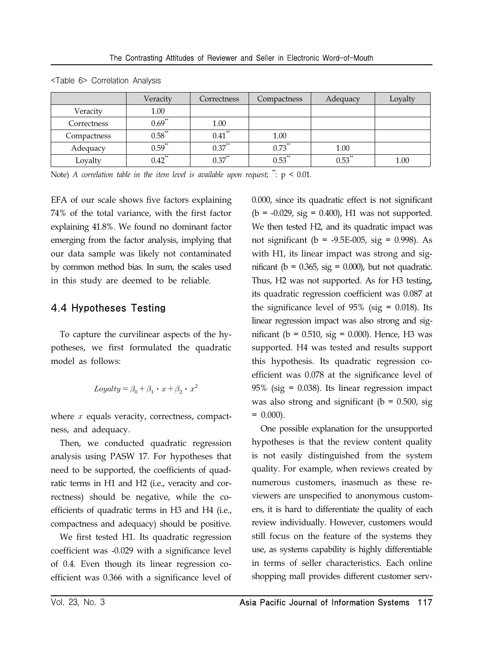|             | Veracity             | Correctness | Compactness | Adequacy    | Lovalty |
|-------------|----------------------|-------------|-------------|-------------|---------|
| Veracity    | 1.00                 |             |             |             |         |
| Correctness | $0.69^{**}$          | 1.00        |             |             |         |
| Compactness | $0.58$ **            | $0.41$ **   | 1.00        |             |         |
| Adequacy    | $0.59$ <sup>**</sup> | $0.37$ **   | $0.73$ **   | 1.00        |         |
| Lovalty     | $0.42$ **            | $0.37$ **   | $0.53$ **   | $0.53^{**}$ | 1.00    |

<Table 6> Correlation Analysis

Note) *A correlation table in the item level is available upon request*;  $\ddot{\cdot}$ :  $p < 0.01$ .

EFA of our scale shows five factors explaining 74% of the total variance, with the first factor explaining 41.8%. We found no dominant factor emerging from the factor analysis, implying that our data sample was likely not contaminated by common method bias. In sum, the scales used in this study are deemed to be reliable.

#### 4.4 Hypotheses Testing

To capture the curvilinear aspects of the hypotheses, we first formulated the quadratic model as follows:

$$
Logalty = \beta_0 + \beta_1 \cdot x + \beta_2 \cdot x^2
$$

where  $x$  equals veracity, correctness, compactness, and adequacy.

Then, we conducted quadratic regression analysis using PASW 17. For hypotheses that need to be supported, the coefficients of quadratic terms in H1 and H2 (i.e., veracity and correctness) should be negative, while the coefficients of quadratic terms in H3 and H4 (i.e., compactness and adequacy) should be positive.

We first tested H1. Its quadratic regression coefficient was -0.029 with a significance level of 0.4. Even though its linear regression coefficient was 0.366 with a significance level of 0.000, since its quadratic effect is not significant  $(b = -0.029, sig = 0.400), H1 was not supported.$ We then tested H2, and its quadratic impact was not significant ( $b = -9.5E-005$ , sig = 0.998). As with H1, its linear impact was strong and significant ( $b = 0.365$ , sig = 0.000), but not quadratic. Thus, H2 was not supported. As for H3 testing, its quadratic regression coefficient was 0.087 at the significance level of  $95\%$  (sig = 0.018). Its linear regression impact was also strong and significant ( $b = 0.510$ , sig = 0.000). Hence, H3 was supported. H4 was tested and results support this hypothesis. Its quadratic regression coefficient was 0.078 at the significance level of 95% (sig = 0.038). Its linear regression impact was also strong and significant ( $b = 0.500$ , sig  $= 0.000$ ).

One possible explanation for the unsupported hypotheses is that the review content quality is not easily distinguished from the system quality. For example, when reviews created by numerous customers, inasmuch as these reviewers are unspecified to anonymous customers, it is hard to differentiate the quality of each review individually. However, customers would still focus on the feature of the systems they use, as systems capability is highly differentiable in terms of seller characteristics. Each online shopping mall provides different customer serv-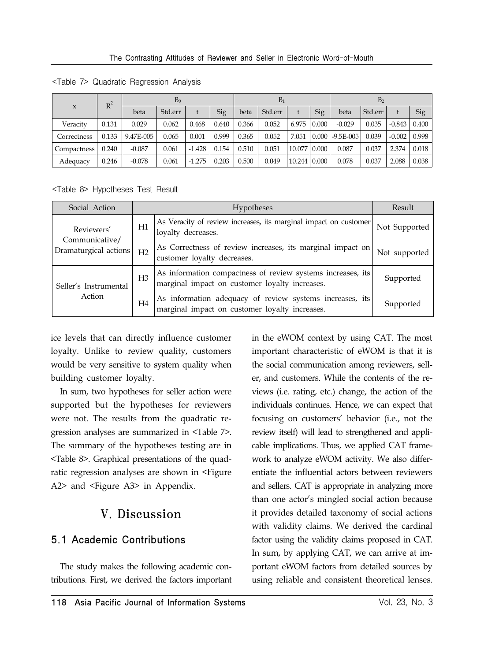|                     | $R^2$ | B <sub>0</sub> |         |          | $B_1$ |       |         |        | B <sub>2</sub> |              |         |          |       |
|---------------------|-------|----------------|---------|----------|-------|-------|---------|--------|----------------|--------------|---------|----------|-------|
| $\boldsymbol{\chi}$ |       | beta           | Std.err |          | Sig   | beta  | Std.err |        | Sig            | beta         | Std.err |          | Sig   |
| Veracity            | 0.131 | 0.029          | 0.062   | 0.468    | 0.640 | 0.366 | 0.052   | 6.975  | 0.000          | $-0.029$     | 0.035   | $-0.843$ | 0.400 |
| Correctness         | 0.133 | 9.47E-005      | 0.065   | 0.001    | 0.999 | 0.365 | 0.052   | 7.051  | 0.000          | $ -9.5E-005$ | 0.039   | $-0.002$ | 0.998 |
| Compactness         | 0.240 | $-0.087$       | 0.061   | $-1.428$ | 0.154 | 0.510 | 0.051   | 10.077 | 0.000          | 0.087        | 0.037   | 2.374    | 0.018 |
| Adequacy            | 0.246 | $-0.078$       | 0.061   | $-1.275$ | 0.203 | 0.500 | 0.049   | 10.244 | 0.000          | 0.078        | 0.037   | 2.088    | 0.038 |

<Table 7> Quadratic Regression Analysis

<Table 8> Hypotheses Test Result

| Social Action                           |                | <b>Hypotheses</b>                                                                                             | Result        |
|-----------------------------------------|----------------|---------------------------------------------------------------------------------------------------------------|---------------|
| Reviewers'                              | H1             | As Veracity of review increases, its marginal impact on customer<br>loyalty decreases.                        | Not Supported |
| Communicative/<br>Dramaturgical actions | H <sub>2</sub> | As Correctness of review increases, its marginal impact on<br>customer loyalty decreases.                     | Not supported |
| Seller's Instrumental                   | H <sub>3</sub> | As information compactness of review systems increases, its<br>marginal impact on customer loyalty increases. | Supported     |
| Action                                  | H <sub>4</sub> | As information adequacy of review systems increases, its<br>marginal impact on customer loyalty increases.    | Supported     |

ice levels that can directly influence customer loyalty. Unlike to review quality, customers would be very sensitive to system quality when building customer loyalty.

In sum, two hypotheses for seller action were supported but the hypotheses for reviewers were not. The results from the quadratic regression analyses are summarized in <Table 7>. The summary of the hypotheses testing are in <Table 8>. Graphical presentations of the quadratic regression analyses are shown in <Figure A2> and <Figure A3> in Appendix.

## V. Discussion

### 5.1 Academic Contributions

The study makes the following academic contributions. First, we derived the factors important in the eWOM context by using CAT. The most important characteristic of eWOM is that it is the social communication among reviewers, seller, and customers. While the contents of the reviews (i.e. rating, etc.) change, the action of the individuals continues. Hence, we can expect that focusing on customers' behavior (i.e., not the review itself) will lead to strengthened and applicable implications. Thus, we applied CAT framework to analyze eWOM activity. We also differentiate the influential actors between reviewers and sellers. CAT is appropriate in analyzing more than one actor's mingled social action because it provides detailed taxonomy of social actions with validity claims. We derived the cardinal factor using the validity claims proposed in CAT. In sum, by applying CAT, we can arrive at important eWOM factors from detailed sources by using reliable and consistent theoretical lenses.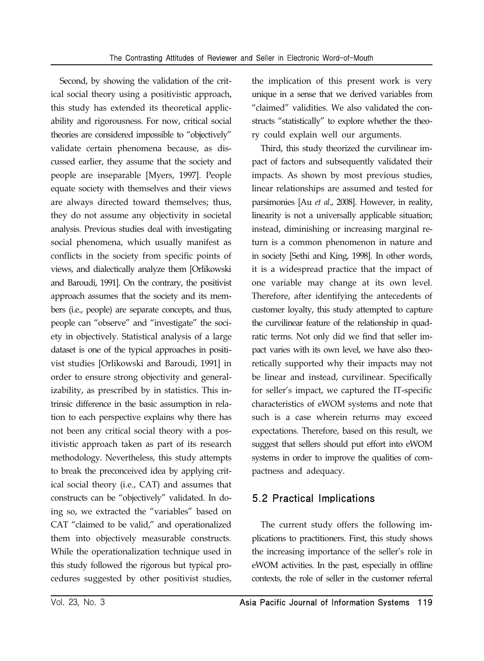Second, by showing the validation of the critical social theory using a positivistic approach, this study has extended its theoretical applicability and rigorousness. For now, critical social theories are considered impossible to "objectively" validate certain phenomena because, as discussed earlier, they assume that the society and people are inseparable [Myers, 1997]. People equate society with themselves and their views are always directed toward themselves; thus, they do not assume any objectivity in societal analysis. Previous studies deal with investigating social phenomena, which usually manifest as conflicts in the society from specific points of views, and dialectically analyze them [Orlikowski and Baroudi, 1991]. On the contrary, the positivist approach assumes that the society and its members (i.e., people) are separate concepts, and thus, people can "observe" and "investigate" the society in objectively. Statistical analysis of a large dataset is one of the typical approaches in positivist studies [Orlikowski and Baroudi, 1991] in order to ensure strong objectivity and generalizability, as prescribed by in statistics. This intrinsic difference in the basic assumption in relation to each perspective explains why there has not been any critical social theory with a positivistic approach taken as part of its research methodology. Nevertheless, this study attempts to break the preconceived idea by applying critical social theory (i.e., CAT) and assumes that constructs can be "objectively" validated. In doing so, we extracted the "variables" based on CAT "claimed to be valid," and operationalized them into objectively measurable constructs. While the operationalization technique used in this study followed the rigorous but typical procedures suggested by other positivist studies,

the implication of this present work is very unique in a sense that we derived variables from "claimed" validities. We also validated the constructs "statistically" to explore whether the theory could explain well our arguments.

Third, this study theorized the curvilinear impact of factors and subsequently validated their impacts. As shown by most previous studies, linear relationships are assumed and tested for parsimonies [Au *et al*., 2008]. However, in reality, linearity is not a universally applicable situation; instead, diminishing or increasing marginal return is a common phenomenon in nature and in society [Sethi and King, 1998]. In other words, it is a widespread practice that the impact of one variable may change at its own level. Therefore, after identifying the antecedents of customer loyalty, this study attempted to capture the curvilinear feature of the relationship in quadratic terms. Not only did we find that seller impact varies with its own level, we have also theoretically supported why their impacts may not be linear and instead, curvilinear. Specifically for seller's impact, we captured the IT-specific characteristics of eWOM systems and note that such is a case wherein returns may exceed expectations. Therefore, based on this result, we suggest that sellers should put effort into eWOM systems in order to improve the qualities of compactness and adequacy.

### 5.2 Practical Implications

The current study offers the following implications to practitioners. First, this study shows the increasing importance of the seller's role in eWOM activities. In the past, especially in offline contexts, the role of seller in the customer referral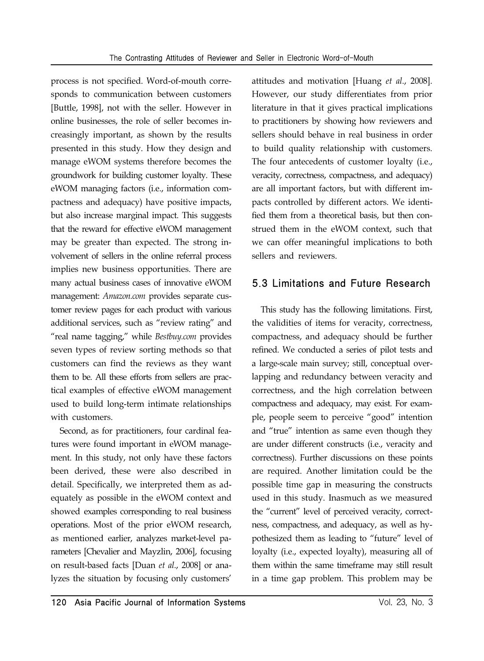process is not specified. Word-of-mouth corresponds to communication between customers [Buttle, 1998], not with the seller. However in online businesses, the role of seller becomes increasingly important, as shown by the results presented in this study. How they design and manage eWOM systems therefore becomes the groundwork for building customer loyalty. These eWOM managing factors (i.e., information compactness and adequacy) have positive impacts, but also increase marginal impact. This suggests that the reward for effective eWOM management may be greater than expected. The strong involvement of sellers in the online referral process implies new business opportunities. There are many actual business cases of innovative eWOM management: *Amazon.com* provides separate customer review pages for each product with various additional services, such as "review rating" and "real name tagging," while *Bestbuy.com* provides seven types of review sorting methods so that customers can find the reviews as they want them to be. All these efforts from sellers are practical examples of effective eWOM management used to build long-term intimate relationships with customers.

Second, as for practitioners, four cardinal features were found important in eWOM management. In this study, not only have these factors been derived, these were also described in detail. Specifically, we interpreted them as adequately as possible in the eWOM context and showed examples corresponding to real business operations. Most of the prior eWOM research, as mentioned earlier, analyzes market-level parameters [Chevalier and Mayzlin, 2006], focusing on result-based facts [Duan *et al*., 2008] or analyzes the situation by focusing only customers'

attitudes and motivation [Huang *et al*., 2008]. However, our study differentiates from prior literature in that it gives practical implications to practitioners by showing how reviewers and sellers should behave in real business in order to build quality relationship with customers. The four antecedents of customer loyalty (i.e., veracity, correctness, compactness, and adequacy) are all important factors, but with different impacts controlled by different actors. We identified them from a theoretical basis, but then construed them in the eWOM context, such that we can offer meaningful implications to both sellers and reviewers.

### 5.3 Limitations and Future Research

This study has the following limitations. First, the validities of items for veracity, correctness, compactness, and adequacy should be further refined. We conducted a series of pilot tests and a large-scale main survey; still, conceptual overlapping and redundancy between veracity and correctness, and the high correlation between compactness and adequacy, may exist. For example, people seem to perceive "good" intention and "true" intention as same even though they are under different constructs (i.e., veracity and correctness). Further discussions on these points are required. Another limitation could be the possible time gap in measuring the constructs used in this study. Inasmuch as we measured the "current" level of perceived veracity, correctness, compactness, and adequacy, as well as hypothesized them as leading to "future" level of loyalty (i.e., expected loyalty), measuring all of them within the same timeframe may still result in a time gap problem. This problem may be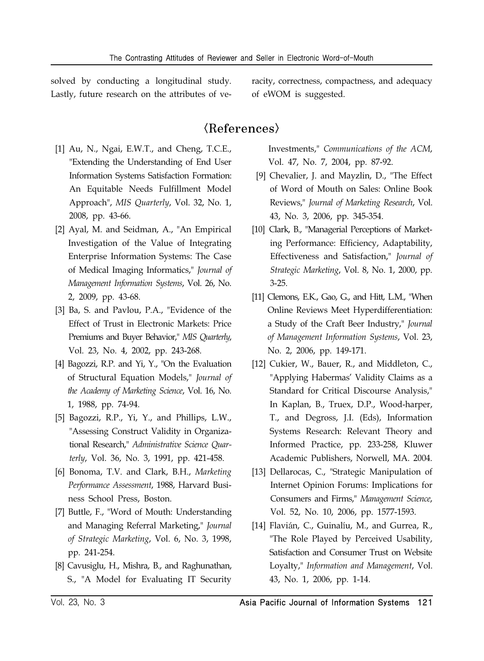solved by conducting a longitudinal study. Lastly, future research on the attributes of ve-

 [1] Au, N., Ngai, E.W.T., and Cheng, T.C.E., "Extending the Understanding of End User Information Systems Satisfaction Formation: An Equitable Needs Fulfillment Model Approach", *MIS Quarterly*, Vol. 32, No. 1, 2008, pp. 43-66.

- [2] Ayal, M. and Seidman, A., "An Empirical Investigation of the Value of Integrating Enterprise Information Systems: The Case of Medical Imaging Informatics," *Journal of Management Information Systems*, Vol. 26, No. 2, 2009, pp. 43-68.
- [3] Ba, S. and Pavlou, P.A., "Evidence of the Effect of Trust in Electronic Markets: Price Premiums and Buyer Behavior," *MIS Quarterly*, Vol. 23, No. 4, 2002, pp. 243-268.
- [4] Bagozzi, R.P. and Yi, Y., "On the Evaluation of Structural Equation Models," *Journal of the Academy of Marketing Science*, Vol. 16, No. 1, 1988, pp. 74-94.
- [5] Bagozzi, R.P., Yi, Y., and Phillips, L.W., "Assessing Construct Validity in Organizational Research," *Administrative Science Quarterly*, Vol. 36, No. 3, 1991, pp. 421-458.
- [6] Bonoma, T.V. and Clark, B.H., *Marketing Performance Assessment*, 1988, Harvard Business School Press, Boston.
- [7] Buttle, F., "Word of Mouth: Understanding and Managing Referral Marketing," *Journal of Strategic Marketing*, Vol. 6, No. 3, 1998, pp. 241-254.
- [8] Cavusiglu, H., Mishra, B., and Raghunathan, S., "A Model for Evaluating IT Security

racity, correctness, compactness, and adequacy of eWOM is suggested.

### $\langle References \rangle$

Investments," *Communications of the ACM*, Vol. 47, No. 7, 2004, pp. 87-92.

- [9] Chevalier, J. and Mayzlin, D., "The Effect of Word of Mouth on Sales: Online Book Reviews," *Journal of Marketing Research*, Vol. 43, No. 3, 2006, pp. 345-354.
- [10] Clark, B., "Managerial Perceptions of Marketing Performance: Efficiency, Adaptability, Effectiveness and Satisfaction," *Journal of Strategic Marketing*, Vol. 8, No. 1, 2000, pp. 3-25.
- [11] Clemons, E.K., Gao, G., and Hitt, L.M., "When Online Reviews Meet Hyperdifferentiation: a Study of the Craft Beer Industry," *Journal of Management Information Systems*, Vol. 23, No. 2, 2006, pp. 149-171.
- [12] Cukier, W., Bauer, R., and Middleton, C., "Applying Habermas' Validity Claims as a Standard for Critical Discourse Analysis," In Kaplan, B., Truex, D.P., Wood-harper, T., and Degross, J.I. (Eds), Information Systems Research: Relevant Theory and Informed Practice, pp. 233-258, Kluwer Academic Publishers, Norwell, MA. 2004.
- [13] Dellarocas, C., "Strategic Manipulation of Internet Opinion Forums: Implications for Consumers and Firms," *Management Science*, Vol. 52, No. 10, 2006, pp. 1577-1593.
- [14] Flavián, C., Guinalíu, M., and Gurrea, R., "The Role Played by Perceived Usability, Satisfaction and Consumer Trust on Website Loyalty," *Information and Management*, Vol. 43, No. 1, 2006, pp. 1-14.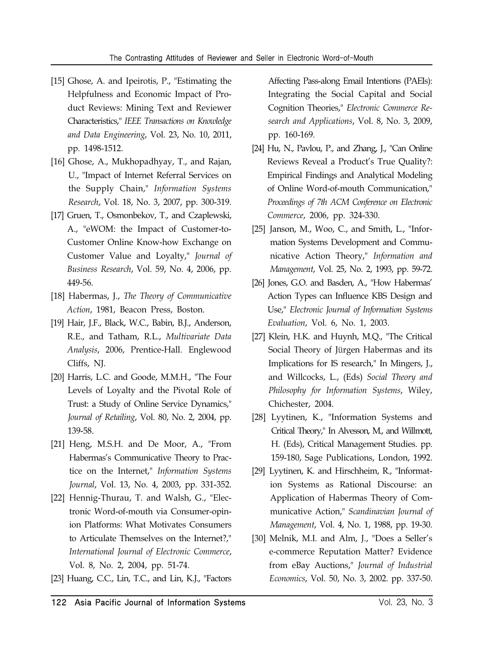- [15] Ghose, A. and Ipeirotis, P., "Estimating the Helpfulness and Economic Impact of Product Reviews: Mining Text and Reviewer Characteristics," *IEEE Transactions on Knowledge and Data Engineering*, Vol. 23, No. 10, 2011, pp. 1498-1512.
- [16] Ghose, A., Mukhopadhyay, T., and Rajan, U., "Impact of Internet Referral Services on the Supply Chain," *Information Systems Research*, Vol. 18, No. 3, 2007, pp. 300-319.
- [17] Gruen, T., Osmonbekov, T., and Czaplewski, A., "eWOM: the Impact of Customer-to-Customer Online Know-how Exchange on Customer Value and Loyalty," *Journal of Business Research*, Vol. 59, No. 4, 2006, pp. 449-56.
- [18] Habermas, J., *The Theory of Communicative Action*, 1981, Beacon Press, Boston.
- [19] Hair, J.F., Black, W.C., Babin, B.J., Anderson, R.E., and Tatham, R.L., *Multivariate Data Analysis*, 2006, Prentice-Hall. Englewood Cliffs, NJ.
- [20] Harris, L.C. and Goode, M.M.H., "The Four Levels of Loyalty and the Pivotal Role of Trust: a Study of Online Service Dynamics," *Journal of Retailing*, Vol. 80, No. 2, 2004, pp. 139-58.
- [21] Heng, M.S.H. and De Moor, A., "From Habermas's Communicative Theory to Practice on the Internet," *Information Systems Journal*, Vol. 13, No. 4, 2003, pp. 331-352.
- [22] Hennig-Thurau, T. and Walsh, G., "Electronic Word-of-mouth via Consumer-opinion Platforms: What Motivates Consumers to Articulate Themselves on the Internet?," *International Journal of Electronic Commerce*, Vol. 8, No. 2, 2004, pp. 51-74.
- [23] Huang, C.C., Lin, T.C., and Lin, K.J., "Factors

Affecting Pass-along Email Intentions (PAEIs): Integrating the Social Capital and Social Cognition Theories," *Electronic Commerce Research and Applications*, Vol. 8, No. 3, 2009, pp. 160-169.

- [24] Hu, N., Pavlou, P., and Zhang, J., "Can Online Reviews Reveal a Product's True Quality?: Empirical Findings and Analytical Modeling of Online Word-of-mouth Communication," *Proceedings of 7th ACM Conference on Electronic Commerce*, 2006, pp. 324-330.
- [25] Janson, M., Woo, C., and Smith, L., "Information Systems Development and Communicative Action Theory," *Information and Management*, Vol. 25, No. 2, 1993, pp. 59-72.
- [26] Jones, G.O. and Basden, A., "How Habermas' Action Types can Influence KBS Design and Use," *Electronic Journal of Information Systems Evaluation*, Vol. 6, No. 1, 2003.
- [27] Klein, H.K. and Huynh, M.Q., "The Critical Social Theory of Jürgen Habermas and its Implications for IS research," In Mingers, J., and Willcocks, L., (Eds) *Social Theory and Philosophy for Information Systems*, Wiley, Chichester, 2004.
- [28] Lyytinen, K., "Information Systems and Critical Theory," In Alvesson, M., and Willmott, H. (Eds), Critical Management Studies. pp. 159-180, Sage Publications, London, 1992.
- [29] Lyytinen, K. and Hirschheim, R., "Information Systems as Rational Discourse: an Application of Habermas Theory of Communicative Action," *Scandinavian Journal of Management*, Vol. 4, No. 1, 1988, pp. 19-30.
- [30] Melnik, M.I. and Alm, J., "Does a Seller's e-commerce Reputation Matter? Evidence from eBay Auctions," *Journal of Industrial Economics*, Vol. 50, No. 3, 2002. pp. 337-50.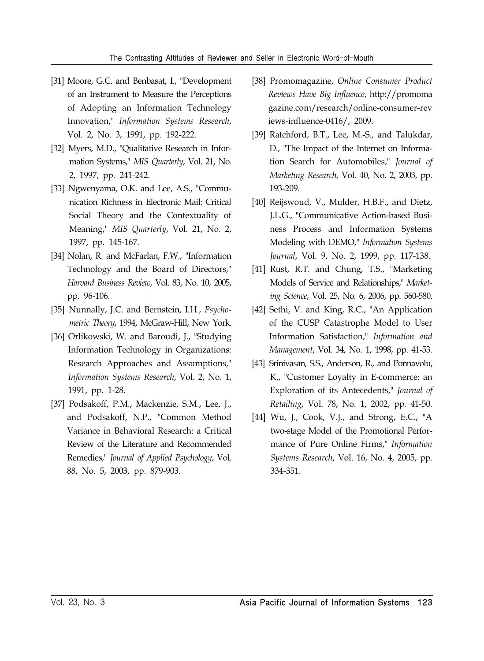#### The Contrasting Attitudes of Reviewer and Seller in Electronic Word-of-Mouth

- [31] Moore, G.C. and Benbasat, I., "Development of an Instrument to Measure the Perceptions of Adopting an Information Technology Innovation," *Information Systems Research*, Vol. 2, No. 3, 1991, pp. 192-222.
- [32] Myers, M.D., "Qualitative Research in Information Systems," *MIS Quarterly*, Vol. 21, No. 2, 1997, pp. 241-242.
- [33] Ngwenyama, O.K. and Lee, A.S., "Communication Richness in Electronic Mail: Critical Social Theory and the Contextuality of Meaning," *MIS Quarterly*, Vol. 21, No. 2, 1997, pp. 145-167.
- [34] Nolan, R. and McFarlan, F.W., "Information Technology and the Board of Directors," *Harvard Business Review*, Vol. 83, No. 10, 2005, pp. 96-106.
- [35] Nunnally, J.C. and Bernstein, I.H., *Psychometric Theory*, 1994, McGraw-Hill, New York.
- [36] Orlikowski, W. and Baroudi, J., "Studying Information Technology in Organizations: Research Approaches and Assumptions," *Information Systems Research*, Vol. 2, No. 1, 1991, pp. 1-28.
- [37] Podsakoff, P.M., Mackenzie, S.M., Lee, J., and Podsakoff, N.P., "Common Method Variance in Behavioral Research: a Critical Review of the Literature and Recommended Remedies," *Journal of Applied Psychology*, Vol. 88, No. 5, 2003, pp. 879-903.
- [38] Promomagazine, *Online Consumer Product Reviews Have Big Influence*, http://promoma gazine.com/research/online-consumer-rev iews-influence-0416/, 2009.
- [39] Ratchford, B.T., Lee, M.-S., and Talukdar, D., "The Impact of the Internet on Information Search for Automobiles," *Journal of Marketing Research*, Vol. 40, No. 2, 2003, pp. 193-209.
- [40] Reijswoud, V., Mulder, H.B.F., and Dietz, J.L.G., "Communicative Action-based Business Process and Information Systems Modeling with DEMO," *Information Systems Journal*, Vol. 9, No. 2, 1999, pp. 117-138.
- [41] Rust, R.T. and Chung, T.S., "Marketing Models of Service and Relationships," *Marketing Science*, Vol. 25, No. 6, 2006, pp. 560-580.
- [42] Sethi, V. and King, R.C., "An Application of the CUSP Catastrophe Model to User Information Satisfaction," *Information and Management*, Vol. 34, No. 1, 1998, pp. 41-53.
- [43] Srinivasan, S.S., Anderson, R., and Ponnavolu, K., "Customer Loyalty in E-commerce: an Exploration of its Antecedents," *Journal of Retailing*, Vol. 78, No. 1, 2002, pp. 41-50.
- [44] Wu, J., Cook, V.J., and Strong, E.C., "A two-stage Model of the Promotional Performance of Pure Online Firms," *Information Systems Research*, Vol. 16, No. 4, 2005, pp. 334-351.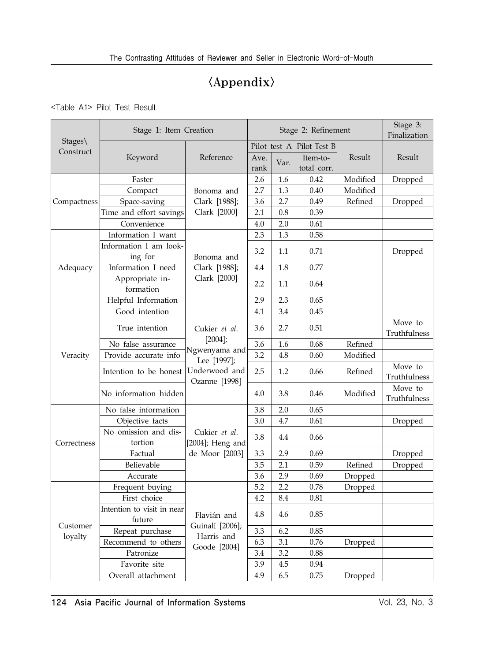# $\langle$ Appendix $\rangle$

<Table A1> Pilot Test Result

|                                 | Stage 1: Item Creation       |                              | Stage 2: Refinement |              |              |              | Stage 3:<br>Finalization |
|---------------------------------|------------------------------|------------------------------|---------------------|--------------|--------------|--------------|--------------------------|
| $Stages\backslash$<br>Construct |                              |                              |                     | Pilot test A | Pilot Test B |              |                          |
|                                 | Keyword                      | Reference                    | Ave.<br>Var.        |              | Item-to-     | Result       | Result                   |
|                                 |                              |                              | rank                |              | total corr.  |              |                          |
|                                 | Faster                       |                              | 2.6                 | 1.6          | 0.42         | Modified     | Dropped                  |
|                                 | Compact                      | Bonoma and                   | 2.7                 | 1.3          | 0.40         | Modified     |                          |
| Compactness                     | Space-saving                 | Clark [1988];                | 3.6                 | 2.7          | 0.49         | Refined      | Dropped                  |
|                                 | Time and effort savings      | Clark [2000]                 | 2.1                 | 0.8          | 0.39         |              |                          |
|                                 | Convenience                  |                              | 4.0                 | 2.0          | 0.61         |              |                          |
|                                 | Information I want           |                              | 2.3                 | 1.3          | 0.58         |              |                          |
|                                 | Information I am look-       |                              | 3.2                 | 1.1          | 0.71         |              |                          |
|                                 | ing for                      | Bonoma and                   |                     |              |              |              | Dropped                  |
| Adequacy                        | Information I need           | Clark [1988];                | 4.4                 | 1.8          | 0.77         |              |                          |
|                                 | Appropriate in-<br>formation | Clark [2000]                 | 2.2                 | 1.1          | 0.64         |              |                          |
|                                 | Helpful Information          |                              | 2.9                 | 2.3          | 0.65         |              |                          |
|                                 | Good intention               |                              | 4.1                 | 3.4          | 0.45         |              |                          |
|                                 |                              |                              |                     |              |              |              | Move to                  |
|                                 | True intention               | Cukier et al.                | 3.6                 | 2.7          | 0.51         |              | Truthfulness             |
|                                 | No false assurance           | $[2004]$ ;                   | 3.6                 | 1.6          | 0.68         | Refined      |                          |
| Veracity                        | Provide accurate info        | Ngwenyama and                | 3.2                 | 4.8          | 0.60         | Modified     |                          |
|                                 |                              | Lee [1997];<br>Underwood and | 2.5<br>1.2          |              |              |              | Move to                  |
|                                 | Intention to be honest       | Ozanne [1998]                |                     | 0.66         | Refined      | Truthfulness |                          |
|                                 | No information hidden        |                              | 4.0                 | 3.8          | 0.46         | Modified     | Move to                  |
|                                 |                              |                              |                     |              |              |              | Truthfulness             |
|                                 | No false information         |                              | 3.8                 | 2.0          | 0.65         |              |                          |
|                                 | Objective facts              |                              | 3.0                 | 4.7          | 0.61         |              | Dropped                  |
|                                 | No omission and dis-         | Cukier et al.                | 3.8                 | 4.4          | 0.66         |              |                          |
| Correctness                     | tortion                      | [2004]; Heng and             |                     |              |              |              |                          |
|                                 | Factual                      | de Moor [2003]               | 3.3                 | 2.9          | 0.69         |              | Dropped                  |
|                                 | Believable                   |                              | 3.5                 | 2.1          | 0.59         | Refined      | Dropped                  |
|                                 | Accurate                     |                              | 3.6                 | 2.9          | 0.69         | Dropped      |                          |
|                                 | Frequent buying              |                              | 5.2                 | 2.2          | 0.78         | Dropped      |                          |
|                                 | First choice                 |                              | 4.2                 | 8.4          | 0.81         |              |                          |
|                                 | Intention to visit in near   | Flavián and                  | 4.8                 | 4.6          | 0.85         |              |                          |
| Customer                        | future                       | Guinalí [2006];              |                     |              |              |              |                          |
| loyalty                         | Repeat purchase              | Harris and                   | 3.3                 | 6.2          | 0.85         |              |                          |
|                                 | Recommend to others          | Goode [2004]                 | 6.3                 | 3.1          | 0.76         | Dropped      |                          |
|                                 | Patronize                    |                              | 3.4                 | 3.2          | 0.88         |              |                          |
|                                 | Favorite site                |                              | 3.9                 | 4.5          | 0.94         |              |                          |
|                                 | Overall attachment           |                              | 4.9                 | 6.5          | 0.75         | Dropped      |                          |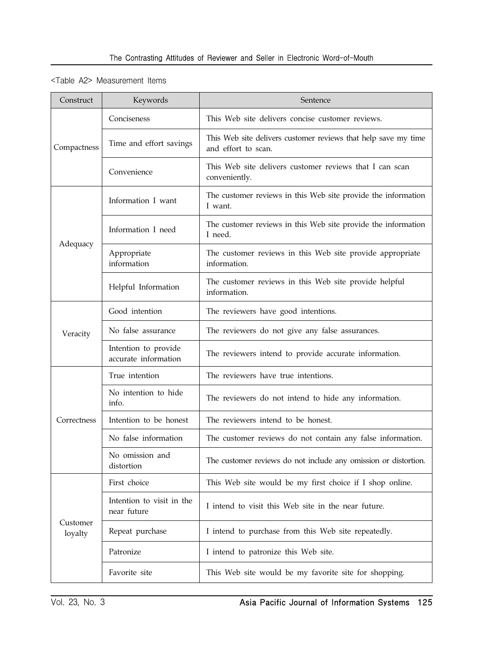#### <Table A2> Measurement Items

| Construct           | Keywords                                     | Sentence                                                                              |
|---------------------|----------------------------------------------|---------------------------------------------------------------------------------------|
| Compactness         | Conciseness                                  | This Web site delivers concise customer reviews.                                      |
|                     | Time and effort savings                      | This Web site delivers customer reviews that help save my time<br>and effort to scan. |
|                     | Convenience                                  | This Web site delivers customer reviews that I can scan<br>conveniently.              |
| Adequacy            | Information I want                           | The customer reviews in this Web site provide the information<br>I want.              |
|                     | Information I need                           | The customer reviews in this Web site provide the information<br>I need.              |
|                     | Appropriate<br>information                   | The customer reviews in this Web site provide appropriate<br>information.             |
|                     | Helpful Information                          | The customer reviews in this Web site provide helpful<br>information.                 |
| Veracity            | Good intention                               | The reviewers have good intentions.                                                   |
|                     | No false assurance                           | The reviewers do not give any false assurances.                                       |
|                     | Intention to provide<br>accurate information | The reviewers intend to provide accurate information.                                 |
| Correctness         | True intention                               | The reviewers have true intentions.                                                   |
|                     | No intention to hide<br>info.                | The reviewers do not intend to hide any information.                                  |
|                     | Intention to be honest                       | The reviewers intend to be honest.                                                    |
|                     | No false information                         | The customer reviews do not contain any false information.                            |
|                     | No omission and<br>distortion                | The customer reviews do not include any omission or distortion.                       |
| Customer<br>loyalty | First choice                                 | This Web site would be my first choice if I shop online.                              |
|                     | Intention to visit in the<br>near future     | I intend to visit this Web site in the near future.                                   |
|                     | Repeat purchase                              | I intend to purchase from this Web site repeatedly.                                   |
|                     | Patronize                                    | I intend to patronize this Web site.                                                  |
|                     | Favorite site                                | This Web site would be my favorite site for shopping.                                 |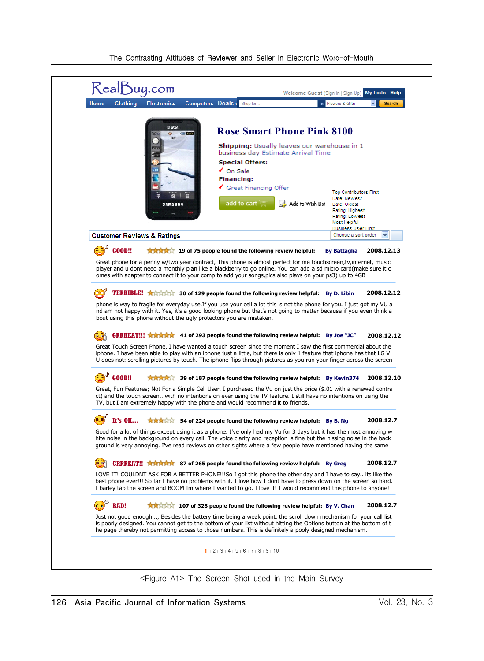| atst<br><b>CHILE DOUGH</b><br>$\circ$<br><b>SAMSUNG</b><br><b>Customer Reviews &amp; Ratings</b><br><b>GOOD!!</b><br>Great phone for a penny w/two year contract, This phone is almost perfect for me touchscreen,ty, internet, music<br>player and u dont need a monthly plan like a blackberry to go online. You can add a sd micro card(make sure it c<br>omes with adapter to connect it to your comp to add your songs, pics also plays on your ps3) up to 4GB | <b>Rose Smart Phone Pink 8100</b><br>Shipping: Usually leaves our warehouse in 1<br>business day Estimate Arrival Time<br><b>Special Offers:</b><br>$\checkmark$ On Sale<br><b>Financing:</b><br>Great Financing Offer<br>add to cart ≌<br>Add to Wish List<br>AAAA <sup>2</sup> 19 of 75 people found the following review helpful: | <b>Top Contributors First</b><br>Date: Newest<br>Date: Oldest<br>Rating: Highest<br>Rating: Lowest<br>Most Helpful<br><b>Business User First</b><br>Choose a sort order<br><b>By Battaglia</b> | 2008.12.13 |
|---------------------------------------------------------------------------------------------------------------------------------------------------------------------------------------------------------------------------------------------------------------------------------------------------------------------------------------------------------------------------------------------------------------------------------------------------------------------|--------------------------------------------------------------------------------------------------------------------------------------------------------------------------------------------------------------------------------------------------------------------------------------------------------------------------------------|------------------------------------------------------------------------------------------------------------------------------------------------------------------------------------------------|------------|
|                                                                                                                                                                                                                                                                                                                                                                                                                                                                     |                                                                                                                                                                                                                                                                                                                                      |                                                                                                                                                                                                |            |
|                                                                                                                                                                                                                                                                                                                                                                                                                                                                     |                                                                                                                                                                                                                                                                                                                                      |                                                                                                                                                                                                |            |
|                                                                                                                                                                                                                                                                                                                                                                                                                                                                     |                                                                                                                                                                                                                                                                                                                                      |                                                                                                                                                                                                |            |
|                                                                                                                                                                                                                                                                                                                                                                                                                                                                     |                                                                                                                                                                                                                                                                                                                                      |                                                                                                                                                                                                |            |
|                                                                                                                                                                                                                                                                                                                                                                                                                                                                     |                                                                                                                                                                                                                                                                                                                                      |                                                                                                                                                                                                |            |
|                                                                                                                                                                                                                                                                                                                                                                                                                                                                     |                                                                                                                                                                                                                                                                                                                                      |                                                                                                                                                                                                |            |
|                                                                                                                                                                                                                                                                                                                                                                                                                                                                     |                                                                                                                                                                                                                                                                                                                                      |                                                                                                                                                                                                |            |
|                                                                                                                                                                                                                                                                                                                                                                                                                                                                     |                                                                                                                                                                                                                                                                                                                                      |                                                                                                                                                                                                |            |
|                                                                                                                                                                                                                                                                                                                                                                                                                                                                     |                                                                                                                                                                                                                                                                                                                                      |                                                                                                                                                                                                |            |
|                                                                                                                                                                                                                                                                                                                                                                                                                                                                     | <b>TERRIBLE! A</b> $\frac{1}{2}$ $\frac{1}{2}$ $\frac{1}{2}$ 30 of 129 people found the following review helpful: By D. Libin                                                                                                                                                                                                        |                                                                                                                                                                                                | 2008.12.12 |
| phone is way to fragile for everyday use. If you use your cell a lot this is not the phone for you. I just got my VU a<br>nd am not happy with it. Yes, it's a good looking phone but that's not going to matter because if you even think a<br>bout using this phone without the ugly protectors you are mistaken.                                                                                                                                                 |                                                                                                                                                                                                                                                                                                                                      |                                                                                                                                                                                                |            |
| GRRREAT!!! ★★★★★ 41 of 293 people found the following review helpful: By Joe "JC"<br>63                                                                                                                                                                                                                                                                                                                                                                             |                                                                                                                                                                                                                                                                                                                                      |                                                                                                                                                                                                | 2008.12.12 |
| Great Touch Screen Phone, I have wanted a touch screen since the moment I saw the first commercial about the<br>iphone. I have been able to play with an iphone just a little, but there is only 1 feature that iphone has that LG V<br>U does not: scrolling pictures by touch. The iphone flips through pictures as you run your finger across the screen                                                                                                         |                                                                                                                                                                                                                                                                                                                                      |                                                                                                                                                                                                |            |
| <b>GOOD!!</b>                                                                                                                                                                                                                                                                                                                                                                                                                                                       | <b>食食食食 39 of 187 people found the following review helpful: By Kevin374</b>                                                                                                                                                                                                                                                         |                                                                                                                                                                                                | 2008.12.10 |
| Great, Fun Features; Not For a Simple Cell User, I purchased the Vu on just the price (\$.01 with a renewed contra<br>ct) and the touch screenwith no intentions on ever using the TV feature. I still have no intentions on using the<br>TV, but I am extremely happy with the phone and would recommend it to friends.                                                                                                                                            |                                                                                                                                                                                                                                                                                                                                      |                                                                                                                                                                                                |            |
| $\left( \Box \overrightarrow{a} \right)$ It's OK                                                                                                                                                                                                                                                                                                                                                                                                                    | <b>AXAZICA</b> 54 of 224 people found the following review helpful: By B. Ng                                                                                                                                                                                                                                                         |                                                                                                                                                                                                | 2008.12.7  |
| Good for a lot of things except using it as a phone. I've only had my Vu for 3 days but it has the most annoying w<br>hite noise in the background on every call. The voice clarity and reception is fine but the hissing noise in the back<br>ground is very annoying. I've read reviews on other sights where a few people have mentioned having the same                                                                                                         |                                                                                                                                                                                                                                                                                                                                      |                                                                                                                                                                                                |            |
| GRRREAT!!! ★★★★★ 87 of 265 people found the following review helpful: By Greg                                                                                                                                                                                                                                                                                                                                                                                       |                                                                                                                                                                                                                                                                                                                                      |                                                                                                                                                                                                | 2008.12.7  |
| LOVE IT! COULDNT ASK FOR A BETTER PHONE!!!So I got this phone the other day and I have to say its like the<br>best phone ever!!! So far I have no problems with it. I love how I dont have to press down on the screen so hard.<br>I barley tap the screen and BOOM Im where I wanted to go. I love it! I would recommend this phone to anyone!                                                                                                                     |                                                                                                                                                                                                                                                                                                                                      |                                                                                                                                                                                                |            |
| $\mathbb{R}^2$<br><b>BAD!</b>                                                                                                                                                                                                                                                                                                                                                                                                                                       | A A 207 of 328 people found the following review helpful: By V. Chan                                                                                                                                                                                                                                                                 |                                                                                                                                                                                                | 2008.12.7  |
| Just not good enough, Besides the battery time being a weak point, the scroll down mechanism for your call list<br>is poorly designed. You cannot get to the bottom of your list without hitting the Options button at the bottom of t<br>he page thereby not permitting access to those numbers. This is definitely a pooly designed mechanism.                                                                                                                    |                                                                                                                                                                                                                                                                                                                                      |                                                                                                                                                                                                |            |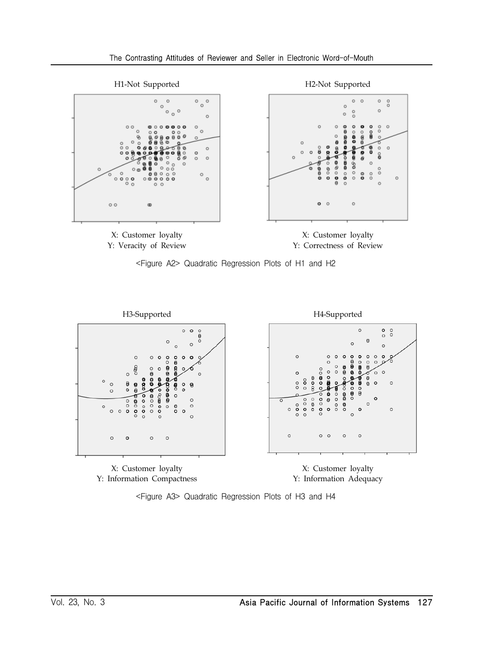









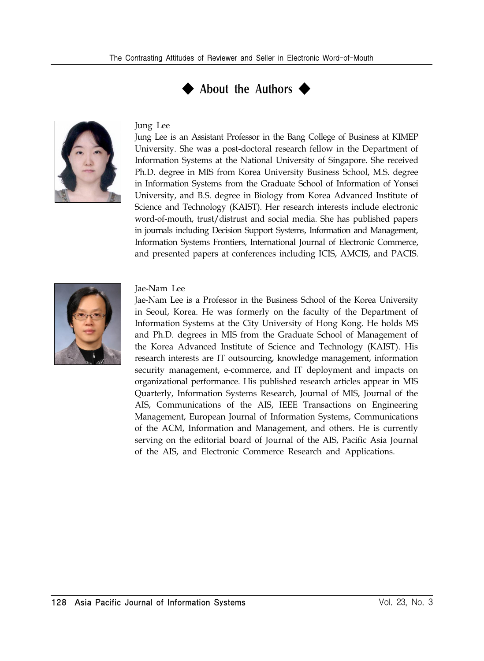



#### Jung Lee

Jung Lee is an Assistant Professor in the Bang College of Business at KIMEP University. She was a post-doctoral research fellow in the Department of Information Systems at the National University of Singapore. She received Ph.D. degree in MIS from Korea University Business School, M.S. degree in Information Systems from the Graduate School of Information of Yonsei University, and B.S. degree in Biology from Korea Advanced Institute of Science and Technology (KAIST). Her research interests include electronic word-of-mouth, trust/distrust and social media. She has published papers in journals including Decision Support Systems, Information and Management, Information Systems Frontiers, International Journal of Electronic Commerce, and presented papers at conferences including ICIS, AMCIS, and PACIS.



Jae-Nam Lee

Jae-Nam Lee is a Professor in the Business School of the Korea University in Seoul, Korea. He was formerly on the faculty of the Department of Information Systems at the City University of Hong Kong. He holds MS and Ph.D. degrees in MIS from the Graduate School of Management of the Korea Advanced Institute of Science and Technology (KAIST). His research interests are IT outsourcing, knowledge management, information security management, e-commerce, and IT deployment and impacts on organizational performance. His published research articles appear in MIS Quarterly, Information Systems Research, Journal of MIS, Journal of the AIS, Communications of the AIS, IEEE Transactions on Engineering Management, European Journal of Information Systems, Communications of the ACM, Information and Management, and others. He is currently serving on the editorial board of Journal of the AIS, Pacific Asia Journal of the AIS, and Electronic Commerce Research and Applications.